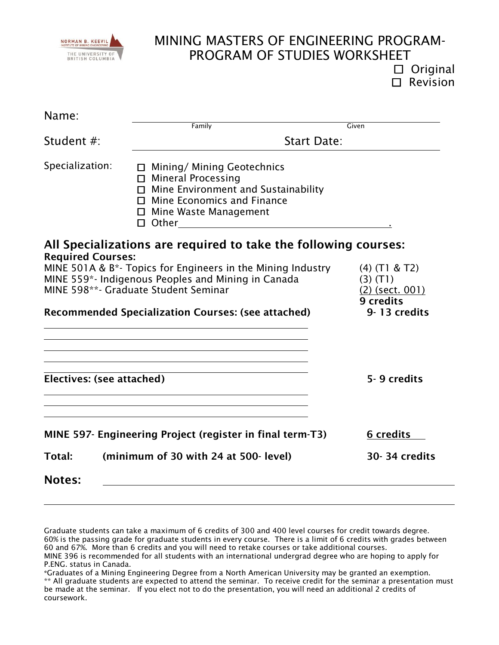

 $\square$  Original  $\square$  Revision

| Name:                     |                                                                                                                                                                              |                           |  |
|---------------------------|------------------------------------------------------------------------------------------------------------------------------------------------------------------------------|---------------------------|--|
|                           | Family                                                                                                                                                                       | Given                     |  |
| Student #:                | <b>Start Date:</b>                                                                                                                                                           |                           |  |
| Specialization:           | $\Box$ Mining/ Mining Geotechnics<br>$\Box$ Mineral Processing<br>$\Box$ Mine Environment and Sustainability<br>$\Box$ Mine Economics and Finance<br>□ Mine Waste Management |                           |  |
| <b>Required Courses:</b>  | All Specializations are required to take the following courses:                                                                                                              |                           |  |
|                           | MINE 501A & B*- Topics for Engineers in the Mining Industry                                                                                                                  | $(4)$ (T1 & T2)           |  |
|                           | MINE 559*- Indigenous Peoples and Mining in Canada                                                                                                                           | $(3)$ $(T1)$              |  |
|                           | MINE 598**- Graduate Student Seminar                                                                                                                                         | $(2)$ (sect. 001)         |  |
|                           | <b>Recommended Specialization Courses: (see attached)</b>                                                                                                                    | 9 credits<br>9-13 credits |  |
|                           |                                                                                                                                                                              |                           |  |
| Electives: (see attached) |                                                                                                                                                                              | 5-9 credits               |  |
|                           | MINE 597- Engineering Project (register in final term-T3)                                                                                                                    | 6 credits                 |  |
| Total:                    | (minimum of 30 with 24 at 500- level)                                                                                                                                        | 30-34 credits             |  |
| <b>Notes:</b>             |                                                                                                                                                                              |                           |  |

Graduate students can take a maximum of 6 credits of 300 and 400 level courses for credit towards degree. 60% is the passing grade for graduate students in every course. There is a limit of 6 credits with grades between 60 and 67%. More than 6 credits and you will need to retake courses or take additional courses. MINE 396 is recommended for all students with an international undergrad degree who are hoping to apply for P.ENG. status in Canada.

<sup>\*</sup>Graduates of a Mining Engineering Degree from a North American University may be granted an exemption. \*\* All graduate students are expected to attend the seminar. To receive credit for the seminar a presentation must be made at the seminar. If you elect not to do the presentation, you will need an additional 2 credits of coursework.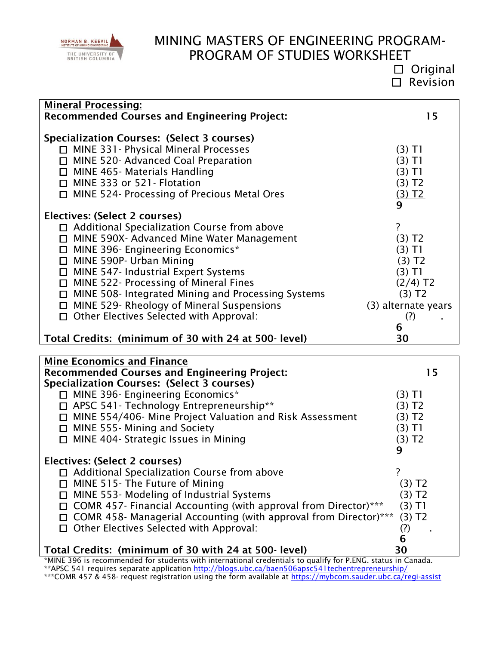

 Original Revision

| <b>Mineral Processing:</b>                              |                      |  |  |
|---------------------------------------------------------|----------------------|--|--|
| <b>Recommended Courses and Engineering Project:</b>     | 15                   |  |  |
|                                                         |                      |  |  |
| <b>Specialization Courses: (Select 3 courses)</b>       |                      |  |  |
| $\Box$ MINE 331 - Physical Mineral Processes            | (3) T1               |  |  |
| <b>MINE 520- Advanced Coal Preparation</b>              | (3) T1               |  |  |
| MINE 465- Materials Handling<br>□                       | (3)T1                |  |  |
| MINE 333 or 521 - Flotation<br>□                        | (3) T2               |  |  |
| MINE 524- Processing of Precious Metal Ores<br>П        | (3) T2               |  |  |
|                                                         | 9                    |  |  |
| Electives: (Select 2 courses)                           |                      |  |  |
| □ Additional Specialization Course from above           |                      |  |  |
| MINE 590X- Advanced Mine Water Management               | (3) T2               |  |  |
| MINE 396- Engineering Economics*<br>□                   | (3) T1               |  |  |
| MINE 590P- Urban Mining<br>□                            | (3) T2               |  |  |
| <b>MINE 547- Industrial Expert Systems</b><br>□         | (3) T1               |  |  |
| MINE 522- Processing of Mineral Fines<br>□              | $(2/4)$ T2           |  |  |
| MINE 508- Integrated Mining and Processing Systems<br>□ | $(3)$ T <sub>2</sub> |  |  |
| MINE 529- Rheology of Mineral Suspensions<br>$\Box$     | (3) alternate years  |  |  |
| Other Electives Selected with Approval:<br>$\Box$       | (?)                  |  |  |
|                                                         | 6                    |  |  |
| Total Credits: (minimum of 30 with 24 at 500 level)     | 30                   |  |  |

| <b>Mine Economics and Finance</b>                                                                                  |                      |
|--------------------------------------------------------------------------------------------------------------------|----------------------|
| <b>Recommended Courses and Engineering Project:</b>                                                                | 15                   |
| Specialization Courses: (Select 3 courses)                                                                         |                      |
| □ MINE 396- Engineering Economics*                                                                                 | (3) TI               |
| APSC 541- Technology Entrepreneurship**                                                                            | 3) T2                |
| MINE 554/406- Mine Project Valuation and Risk Assessment                                                           | 3) T2                |
| MINE 555- Mining and Society<br>$\Box$                                                                             | 3) TI                |
| MINE 404- Strategic Issues in Mining                                                                               | 3) T2                |
|                                                                                                                    | 9                    |
| Electives: (Select 2 courses)                                                                                      |                      |
| □ Additional Specialization Course from above                                                                      |                      |
| MINE 515- The Future of Mining                                                                                     | $(3)$ T <sub>2</sub> |
| MINE 553- Modeling of Industrial Systems                                                                           | $(3)$ T <sub>2</sub> |
| COMR 457- Financial Accounting (with approval from Director)***                                                    | $(3)$ T1             |
| COMR 458- Managerial Accounting (with approval from Director)***                                                   | (3) T2               |
| Other Electives Selected with Approval:                                                                            | (?)                  |
|                                                                                                                    | 6                    |
| Total Credits: (minimum of 30 with 24 at 500 level)                                                                | 30                   |
| *MINIE 200 is xeceperographed for etudente with interpretional exclopations to qualify for B FNC, status in Canada |                      |

\*MINE 396 is recommended for students with international credentials to qualify for P.ENG. status in Canada. \*\* APSC 541 requires separate application<http://blogs.ubc.ca/baen506apsc541techentrepreneurship/> \*\*\*COMR 457 & 458- request registration using the form available at<https://mybcom.sauder.ubc.ca/regi-assist>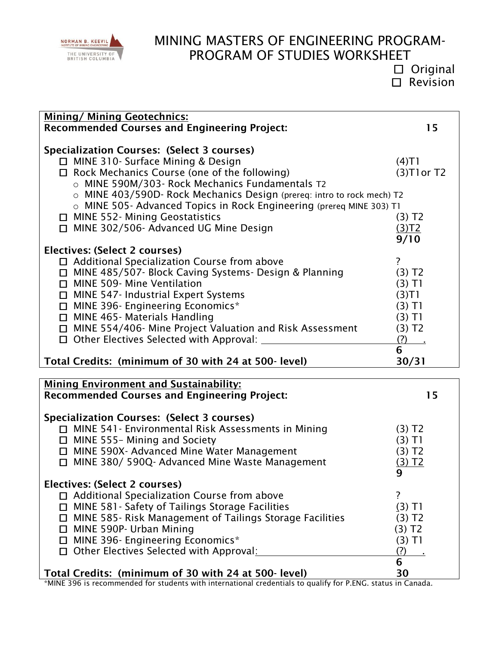

 Original Revision

| <b>Mining/ Mining Geotechnics:</b><br><b>Recommended Courses and Engineering Project:</b>                     | 15                      |
|---------------------------------------------------------------------------------------------------------------|-------------------------|
| Specialization Courses: (Select 3 courses)                                                                    |                         |
| □ MINE 310- Surface Mining & Design<br>□ Rock Mechanics Course (one of the following)                         | (4)T1<br>$(3)$ T1 or T2 |
| o MINE 590M/303- Rock Mechanics Fundamentals T2                                                               |                         |
| o MINE 403/590D- Rock Mechanics Design (prereq: intro to rock mech) T2                                        |                         |
| o MINE 505- Advanced Topics in Rock Engineering (prereq MINE 303) T1                                          |                         |
| □ MINE 552- Mining Geostatistics                                                                              | $(3)$ T <sub>2</sub>    |
| □ MINE 302/506- Advanced UG Mine Design                                                                       | (3)T2                   |
|                                                                                                               | 9/10                    |
| Electives: (Select 2 courses)                                                                                 | $\overline{?}$          |
| $\Box$ Additional Specialization Course from above<br>□ MINE 485/507- Block Caving Systems- Design & Planning | (3) T2                  |
| □ MINE 509- Mine Ventilation                                                                                  | $(3)$ T1                |
| $\Box$ MINE 547- Industrial Expert Systems                                                                    | (3)T1                   |
| □ MINE 396- Engineering Economics*                                                                            | $(3)$ T1                |
| $\Box$ MINE 465- Materials Handling                                                                           | $(3)$ T1                |
| □ MINE 554/406- Mine Project Valuation and Risk Assessment                                                    | (3) T2                  |
| $\Box$ Other Electives Selected with Approval:                                                                | $(?)$ .<br>6            |
| Total Credits: (minimum of 30 with 24 at 500 level)                                                           | 30/31                   |
|                                                                                                               |                         |
| <b>Mining Environment and Sustainability:</b><br><b>Recommended Courses and Engineering Project:</b>          | 15                      |
|                                                                                                               |                         |
| <b>Specialization Courses: (Select 3 courses)</b>                                                             |                         |
| □ MINE 541 - Environmental Risk Assessments in Mining                                                         | $(3)$ T <sub>2</sub>    |
| $\Box$ MINE 555- Mining and Society                                                                           | $(3)$ T1                |
| □ MINE 590X- Advanced Mine Water Management                                                                   | $(3)$ T <sub>2</sub>    |
| □ MINE 380/ 590Q- Advanced Mine Waste Management                                                              | (3) T2<br>9             |
|                                                                                                               |                         |
|                                                                                                               |                         |
| Electives: (Select 2 courses)                                                                                 | ?                       |
| □ Additional Specialization Course from above<br>□ MINE 581 - Safety of Tailings Storage Facilities           | $(3)$ T1                |
| □ MINE 585- Risk Management of Tailings Storage Facilities                                                    | $(3)$ T <sub>2</sub>    |
| □ MINE 590P- Urban Mining                                                                                     | (3) T2                  |
| □ MINE 396- Engineering Economics*                                                                            | $(3)$ T1                |
| □ Other Electives Selected with Approval:                                                                     | (?)<br>6                |

\*MINE 396 is recommended for students with international credentials to qualify for P.ENG. status in Canada.